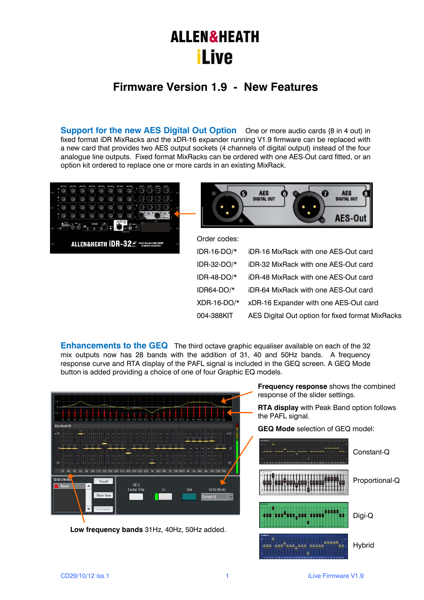# **ALLEN&HEATH iLive**

## **Firmware Version 1.9 - New Features**

**Support for the new AES Digital Out Option** One or more audio cards (8 in 4 out) in fixed format iDR MixRacks and the xDR-16 expander running V1.9 firmware can be replaced with a new card that provides two AES output sockets (4 channels of digital output) instead of the four analogue line outputs. Fixed format MixRacks can be ordered with one AES-Out card fitted, or an option kit ordered to replace one or more cards in an existing MixRack.



| <b>AES</b><br><b>DIGITAL OUT</b> | 6) | <b>AES</b><br><b>DIGITAL OUT</b> |  |
|----------------------------------|----|----------------------------------|--|
|                                  |    | AES-Out                          |  |

| Order codes:   |                                                  |
|----------------|--------------------------------------------------|
| IDR-16-DO/*    | iDR-16 MixRack with one AES-Out card             |
| IDR-32-DO/*    | iDR-32 MixRack with one AES-Out card             |
| IDR-48-DO/ $*$ | iDR-48 MixRack with one AES-Out card             |
| IDR64-DO/*     | iDR-64 MixRack with one AES-Out card             |
| $XDR-16-DO/*$  | xDR-16 Expander with one AES-Out card            |
| 004-388KIT     | AES Digital Out option for fixed format MixRacks |

**Enhancements to the GEQ** The third octave graphic equaliser available on each of the 32 mix outputs now has 28 bands with the addition of 31, 40 and 50Hz bands. A frequency response curve and RTA display of the PAFL signal is included in the GEQ screen. A GEQ Mode button is added providing a choice of one of four Graphic EQ models.



Hybrid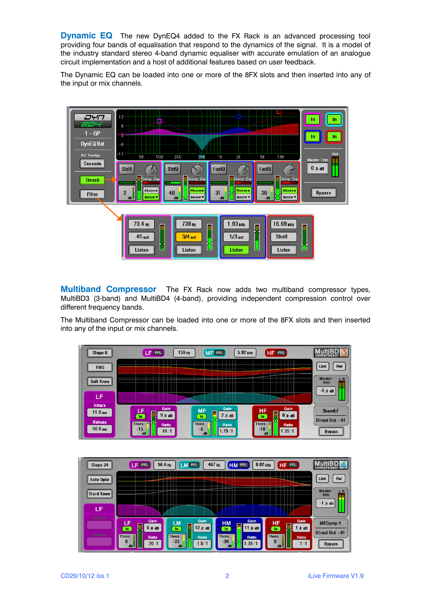**Dynamic EQ** The new DynEQ4 added to the FX Rack is an advanced processing tool providing four bands of equalisation that respond to the dynamics of the signal. It is a model of the industry standard stereo 4-band dynamic equaliser with accurate emulation of an analogue circuit implementation and a host of additional features based on user feedback.

The Dynamic EQ can be loaded into one or more of the 8FX slots and then inserted into any of the input or mix channels.



**Multiband Compressor** The FX Rack now adds two multiband compressor types, MultiBD3 (3-band) and MultiBD4 (4-band), providing independent compression control over different frequency bands.

The Multiband Compressor can be loaded into one or more of the 8FX slots and then inserted into any of the input or mix channels.



| Slope 24         | LF PFL                          | 56.6 Hz<br>467 Hz<br>LM PFL                       | HM PFL                                 | 8.02 kHz<br>HF PFL                                    | compressor                              |
|------------------|---------------------------------|---------------------------------------------------|----------------------------------------|-------------------------------------------------------|-----------------------------------------|
| <b>Auto Opto</b> |                                 | <b>CONTRACTOR</b>                                 |                                        |                                                       | Link<br>Rel                             |
| <b>Hard Knee</b> |                                 |                                                   | <b>Minima</b>                          |                                                       | <b>Master</b><br>L <sub>R</sub><br>trim |
| LF               |                                 |                                                   |                                        |                                                       | $-1.5$ dB                               |
| A Huck           | Gain<br>LF                      | Gain<br>LM                                        | Gain<br><b>HM</b>                      | Gain<br>HF                                            | <b>MBComp 4</b>                         |
| Release          | 6.0 dB<br>In<br><b>Thres</b>    | 12.0dB<br>In<br><b>Thres</b>                      | 11.0dB<br>In.<br><b>Thres</b><br>Ratio | 1.0dB<br>$\ln$<br><b>Thres</b>                        | Direct Out - 41                         |
|                  | Ratio<br>$\bf{0}$<br>20:1<br>dB | Ratio<br>$-33$<br>1.5:1<br>$\mathbf{d}\mathbf{B}$ | $-34$<br>.35:1<br>d <b>B</b>           | Ratio<br>$\bf{0}$<br>1:1<br>$\mathbf{d}$ <sub>B</sub> | <b>Bypass</b>                           |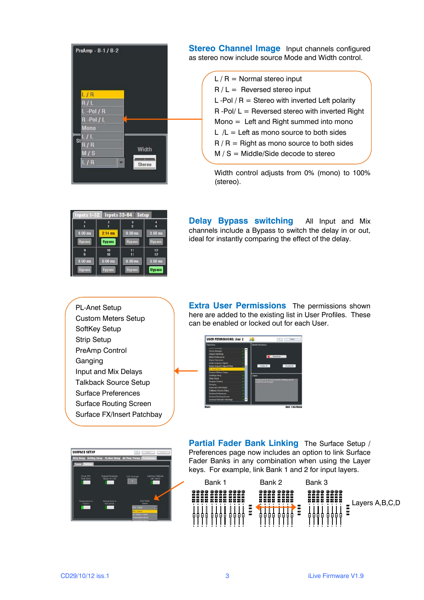

**Stereo Channel Image** Input channels configured as stereo now include source Mode and Width control.

> $L/R =$  Normal stereo input  $R / L =$  Reversed stereo input L -Pol  $/R =$  Stereo with inverted Left polarity  $R$  -Pol/  $L =$  Reversed stereo with inverted Right  $Mono =$  Left and Right summed into mono  $L / L = L$ eft as mono source to both sides  $R/R =$  Right as mono source to both sides  $M / S = Mid =$  Middle/Side decode to stereo

Width control adjusts from 0% (mono) to 100% (stereo).

| Inputs 1-32   | <b>Inputs 33-64</b> | <b>Setup</b>  |               |
|---------------|---------------------|---------------|---------------|
|               | 2                   | a             |               |
| $0.00$ ms     | $2.14$ ms           | $0.00$ ms     | $0.00$ ms     |
| <b>Bypass</b> | <b>Bypass</b>       | <b>Bypass</b> | <b>Bypass</b> |
| g<br>g        | 10<br>10            | 11<br>11      | 12<br>12      |
| $0.00$ ms     | $0.00$ ms           | $0.00$ ms     | $0.00$ ms     |
| <b>Bypass</b> | <b>Bypass</b>       | <b>Bypass</b> | <b>Bypass</b> |

**Delay Bypass switching** All Input and Mix channels include a Bypass to switch the delay in or out, ideal for instantly comparing the effect of the delay.

PL-Anet Setup Custom Meters Setup SoftKey Setup Strip Setup PreAmp Control Ganging Input and Mix Delays Talkback Source Setup Surface Preferences Surface Routing Screen Surface FX/Insert Patchbay **Extra User Permissions** The permissions shown here are added to the existing list in User Profiles. These can be enabled or locked out for each User.





**Partial Fader Bank Linking** The Surface Setup / Preferences page now includes an option to link Surface Fader Banks in any combination when using the Layer keys. For example, link Bank 1 and 2 for input layers.

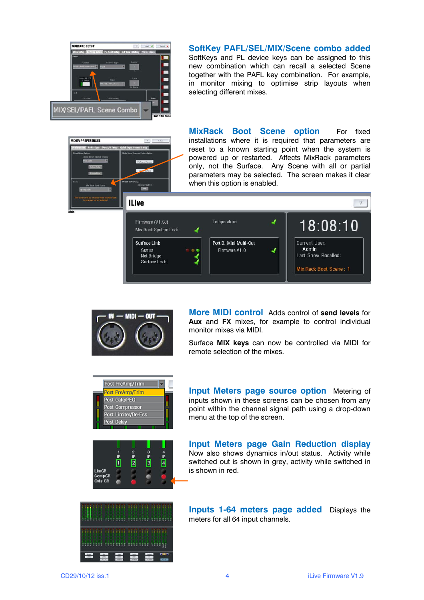

**SoftKey PAFL/SEL/MIX/Scene combo added** SoftKeys and PL device keys can be assigned to this new combination which can recall a selected Scene together with the PAFL key combination. For example, in monitor mixing to optimise strip layouts when selecting different mixes.

**MIXER PREFERENCES iLive** 

**MixRack Boot Scene option** For fixed installations where it is required that parameters are reset to a known starting point when the system is powered up or restarted. Affects MixRack parameters only, not the Surface. Any Scene with all or partial parameters may be selected. The screen makes it clear when this option is enabled.





**More MIDI control** Adds control of **send levels** for **Aux** and **FX** mixes, for example to control individual monitor mixes via MIDI.

Surface **MIX keys** can now be controlled via MIDI for remote selection of the mixes.

| Post PreAmp/Trim        |
|-------------------------|
| <b>Post PreAmp/Trim</b> |
| Post Gate/PEQ           |
| Post Compressor         |
| Post Limiter/De-Ess     |
| Post Delay              |
|                         |



**Input Meters page source option** Metering of inputs shown in these screens can be chosen from any point within the channel signal path using a drop-down menu at the top of the screen.

**Input Meters page Gain Reduction display** Now also shows dynamics in/out status. Activity while switched out is shown in grey, activity while switched in is shown in red.



**Inputs 1-64 meters page added** Displays the meters for all 64 input channels.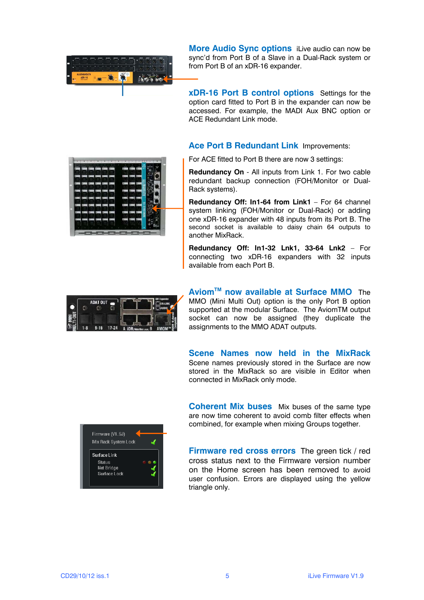

**More Audio Sync options** iLive audio can now be sync'd from Port B of a Slave in a Dual-Rack system or from Port B of an xDR-16 expander.

**xDR-16 Port B control options** Settings for the option card fitted to Port B in the expander can now be accessed. For example, the MADI Aux BNC option or ACE Redundant Link mode.

#### **Ace Port B Redundant Link** Improvements:

For ACE fitted to Port B there are now 3 settings:

**Redundancy On** - All inputs from Link 1. For two cable redundant backup connection (FOH/Monitor or Dual-Rack systems).

**Redundancy Off: In1-64 from Link1** – For 64 channel system linking (FOH/Monitor or Dual-Rack) or adding one xDR-16 expander with 48 inputs from its Port B. The second socket is available to daisy chain 64 outputs to another MixRack.

**Redundancy Off: In1-32 Lnk1, 33-64 Lnk2** – For connecting two xDR-16 expanders with 32 inputs available from each Port B.



**AviomTM now available at Surface MMO** The MMO (Mini Multi Out) option is the only Port B option supported at the modular Surface. The AviomTM output socket can now be assigned (they duplicate the assignments to the MMO ADAT outputs.

**Scene Names now held in the MixRack** Scene names previously stored in the Surface are now stored in the MixRack so are visible in Editor when connected in MixRack only mode.

**Coherent Mix buses** Mix buses of the same type are now time coherent to avoid comb filter effects when combined, for example when mixing Groups together.



**Firmware red cross errors** The green tick / red cross status next to the Firmware version number on the Home screen has been removed to avoid user confusion. Errors are displayed using the yellow triangle only.